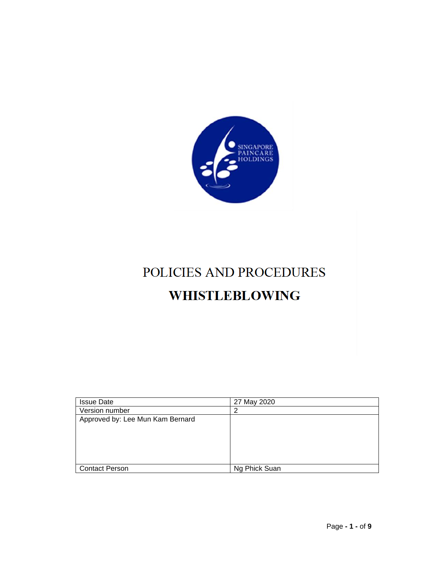

# POLICIES AND PROCEDURES **WHISTLEBLOWING**

| <b>Issue Date</b>                | 27 May 2020   |
|----------------------------------|---------------|
| Version number                   |               |
| Approved by: Lee Mun Kam Bernard |               |
|                                  |               |
|                                  |               |
|                                  |               |
|                                  |               |
|                                  |               |
| <b>Contact Person</b>            | Ng Phick Suan |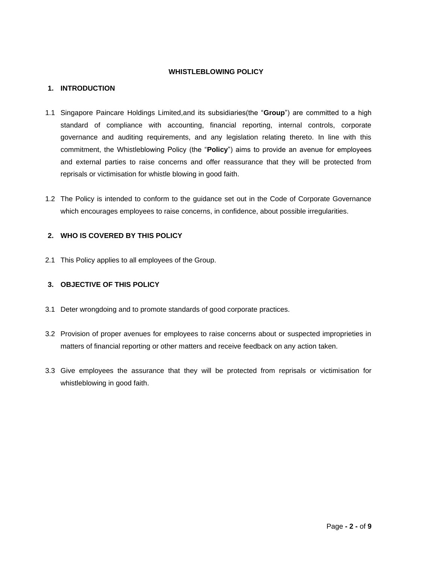#### **WHISTLEBLOWING POLICY**

#### **1. INTRODUCTION**

- 1.1 Singapore Paincare Holdings Limited,and its subsidiaries(the "**Group**") are committed to a high standard of compliance with accounting, financial reporting, internal controls, corporate governance and auditing requirements, and any legislation relating thereto. In line with this commitment, the Whistleblowing Policy (the "**Policy**") aims to provide an avenue for employees and external parties to raise concerns and offer reassurance that they will be protected from reprisals or victimisation for whistle blowing in good faith.
- 1.2 The Policy is intended to conform to the guidance set out in the Code of Corporate Governance which encourages employees to raise concerns, in confidence, about possible irregularities.

### **2. WHO IS COVERED BY THIS POLICY**

2.1 This Policy applies to all employees of the Group.

#### **3. OBJECTIVE OF THIS POLICY**

- 3.1 Deter wrongdoing and to promote standards of good corporate practices.
- 3.2 Provision of proper avenues for employees to raise concerns about or suspected improprieties in matters of financial reporting or other matters and receive feedback on any action taken.
- 3.3 Give employees the assurance that they will be protected from reprisals or victimisation for whistleblowing in good faith.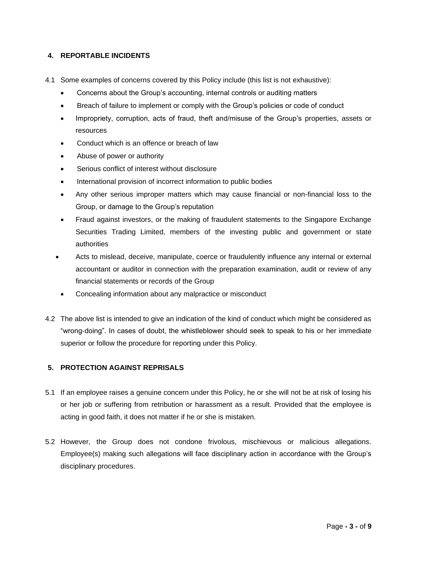#### **4. REPORTABLE INCIDENTS**

- 4.1 Some examples of concerns covered by this Policy include (this list is not exhaustive):
	- Concerns about the Group's accounting, internal controls or auditing matters
	- Breach of failure to implement or comply with the Group's policies or code of conduct
	- Impropriety, corruption, acts of fraud, theft and/misuse of the Group's properties, assets or resources
	- Conduct which is an offence or breach of law
	- Abuse of power or authority
	- Serious conflict of interest without disclosure
	- International provision of incorrect information to public bodies
	- Any other serious improper matters which may cause financial or non-financial loss to the Group, or damage to the Group's reputation
	- Fraud against investors, or the making of fraudulent statements to the Singapore Exchange Securities Trading Limited, members of the investing public and government or state authorities
	- Acts to mislead, deceive, manipulate, coerce or fraudulently influence any internal or external accountant or auditor in connection with the preparation examination, audit or review of any financial statements or records of the Group
		- Concealing information about any malpractice or misconduct
- 4.2 The above list is intended to give an indication of the kind of conduct which might be considered as "wrong-doing". In cases of doubt, the whistleblower should seek to speak to his or her immediate superior or follow the procedure for reporting under this Policy.

#### **5. PROTECTION AGAINST REPRISALS**

- 5.1 If an employee raises a genuine concern under this Policy, he or she will not be at risk of losing his or her job or suffering from retribution or harassment as a result. Provided that the employee is acting in good faith, it does not matter if he or she is mistaken.
- 5.2 However, the Group does not condone frivolous, mischievous or malicious allegations. Employee(s) making such allegations will face disciplinary action in accordance with the Group's disciplinary procedures.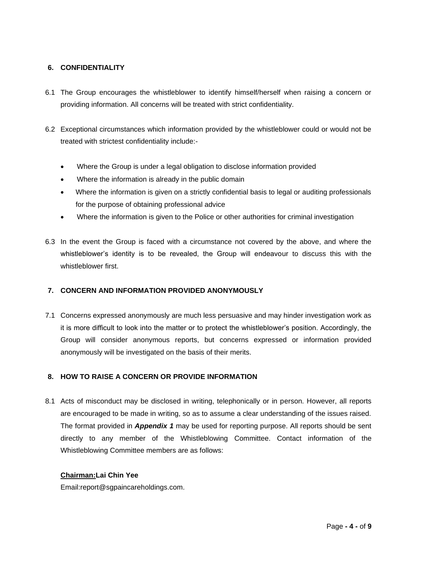#### **6. CONFIDENTIALITY**

- 6.1 The Group encourages the whistleblower to identify himself/herself when raising a concern or providing information. All concerns will be treated with strict confidentiality.
- 6.2 Exceptional circumstances which information provided by the whistleblower could or would not be treated with strictest confidentiality include:-
	- Where the Group is under a legal obligation to disclose information provided
	- Where the information is already in the public domain
	- Where the information is given on a strictly confidential basis to legal or auditing professionals for the purpose of obtaining professional advice
	- Where the information is given to the Police or other authorities for criminal investigation
- 6.3 In the event the Group is faced with a circumstance not covered by the above, and where the whistleblower's identity is to be revealed, the Group will endeavour to discuss this with the whistleblower first.

#### **7. CONCERN AND INFORMATION PROVIDED ANONYMOUSLY**

7.1 Concerns expressed anonymously are much less persuasive and may hinder investigation work as it is more difficult to look into the matter or to protect the whistleblower's position. Accordingly, the Group will consider anonymous reports, but concerns expressed or information provided anonymously will be investigated on the basis of their merits.

#### **8. HOW TO RAISE A CONCERN OR PROVIDE INFORMATION**

8.1 Acts of misconduct may be disclosed in writing, telephonically or in person. However, all reports are encouraged to be made in writing, so as to assume a clear understanding of the issues raised. The format provided in *Appendix 1* may be used for reporting purpose. All reports should be sent directly to any member of the Whistleblowing Committee. Contact information of the Whistleblowing Committee members are as follows:

#### **Chairman:Lai Chin Yee**

Email:report@sgpaincareholdings.com.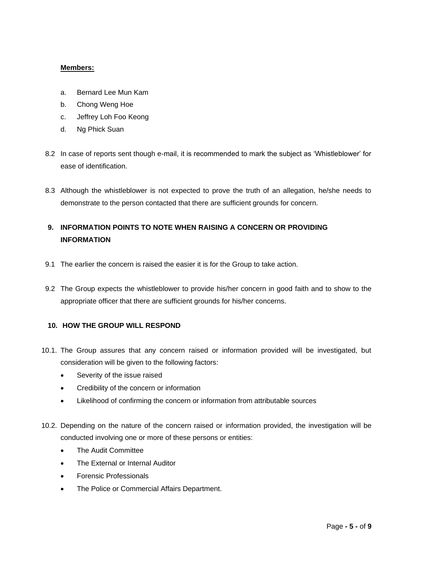#### **Members:**

- a. Bernard Lee Mun Kam
- b. Chong Weng Hoe
- c. Jeffrey Loh Foo Keong
- d. Ng Phick Suan
- 8.2 In case of reports sent though e-mail, it is recommended to mark the subject as 'Whistleblower' for ease of identification.
- 8.3 Although the whistleblower is not expected to prove the truth of an allegation, he/she needs to demonstrate to the person contacted that there are sufficient grounds for concern.

# **9. INFORMATION POINTS TO NOTE WHEN RAISING A CONCERN OR PROVIDING INFORMATION**

- 9.1 The earlier the concern is raised the easier it is for the Group to take action.
- 9.2 The Group expects the whistleblower to provide his/her concern in good faith and to show to the appropriate officer that there are sufficient grounds for his/her concerns.

#### **10. HOW THE GROUP WILL RESPOND**

- 10.1. The Group assures that any concern raised or information provided will be investigated, but consideration will be given to the following factors:
	- Severity of the issue raised
	- Credibility of the concern or information
	- Likelihood of confirming the concern or information from attributable sources
- 10.2. Depending on the nature of the concern raised or information provided, the investigation will be conducted involving one or more of these persons or entities:
	- The Audit Committee
	- The External or Internal Auditor
	- Forensic Professionals
	- The Police or Commercial Affairs Department.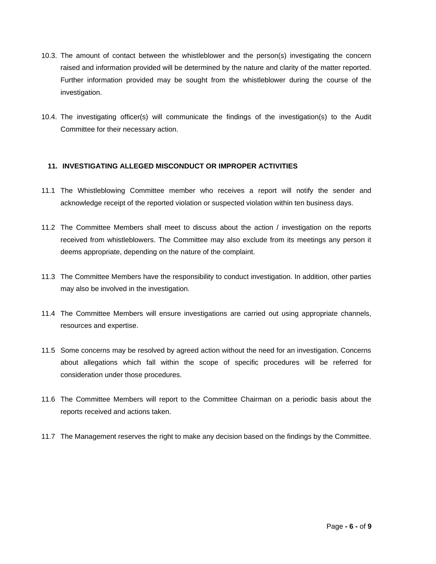- 10.3. The amount of contact between the whistleblower and the person(s) investigating the concern raised and information provided will be determined by the nature and clarity of the matter reported. Further information provided may be sought from the whistleblower during the course of the investigation.
- 10.4. The investigating officer(s) will communicate the findings of the investigation(s) to the Audit Committee for their necessary action.

#### **11. INVESTIGATING ALLEGED MISCONDUCT OR IMPROPER ACTIVITIES**

- 11.1 The Whistleblowing Committee member who receives a report will notify the sender and acknowledge receipt of the reported violation or suspected violation within ten business days.
- 11.2 The Committee Members shall meet to discuss about the action / investigation on the reports received from whistleblowers. The Committee may also exclude from its meetings any person it deems appropriate, depending on the nature of the complaint.
- 11.3 The Committee Members have the responsibility to conduct investigation. In addition, other parties may also be involved in the investigation.
- 11.4 The Committee Members will ensure investigations are carried out using appropriate channels, resources and expertise.
- 11.5 Some concerns may be resolved by agreed action without the need for an investigation. Concerns about allegations which fall within the scope of specific procedures will be referred for consideration under those procedures.
- 11.6 The Committee Members will report to the Committee Chairman on a periodic basis about the reports received and actions taken.
- 11.7 The Management reserves the right to make any decision based on the findings by the Committee.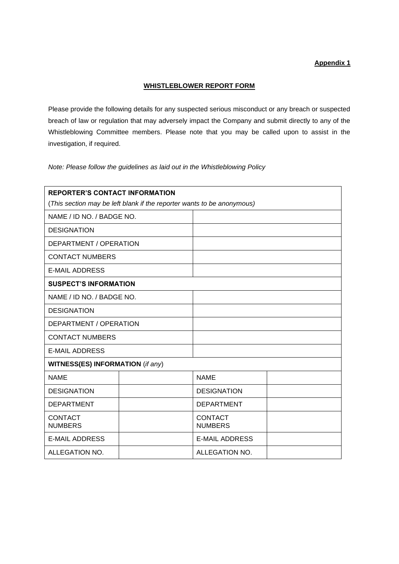## **Appendix 1**

#### **WHISTLEBLOWER REPORT FORM**

Please provide the following details for any suspected serious misconduct or any breach or suspected breach of law or regulation that may adversely impact the Company and submit directly to any of the Whistleblowing Committee members. Please note that you may be called upon to assist in the investigation, if required.

*Note: Please follow the guidelines as laid out in the Whistleblowing Policy*

| <b>REPORTER'S CONTACT INFORMATION</b>                                  |  |                                  |  |
|------------------------------------------------------------------------|--|----------------------------------|--|
| (This section may be left blank if the reporter wants to be anonymous) |  |                                  |  |
| NAME / ID NO. / BADGE NO.                                              |  |                                  |  |
| <b>DESIGNATION</b>                                                     |  |                                  |  |
| DEPARTMENT / OPERATION                                                 |  |                                  |  |
| <b>CONTACT NUMBERS</b>                                                 |  |                                  |  |
| <b>E-MAIL ADDRESS</b>                                                  |  |                                  |  |
| <b>SUSPECT'S INFORMATION</b>                                           |  |                                  |  |
| NAME / ID NO. / BADGE NO.                                              |  |                                  |  |
| <b>DESIGNATION</b>                                                     |  |                                  |  |
| DEPARTMENT / OPERATION                                                 |  |                                  |  |
| <b>CONTACT NUMBERS</b>                                                 |  |                                  |  |
| <b>E-MAIL ADDRESS</b>                                                  |  |                                  |  |
| <b>WITNESS(ES) INFORMATION (if any)</b>                                |  |                                  |  |
| <b>NAME</b>                                                            |  | <b>NAME</b>                      |  |
| <b>DESIGNATION</b>                                                     |  | <b>DESIGNATION</b>               |  |
| <b>DEPARTMENT</b>                                                      |  | <b>DEPARTMENT</b>                |  |
| <b>CONTACT</b><br><b>NUMBERS</b>                                       |  | <b>CONTACT</b><br><b>NUMBERS</b> |  |
| <b>E-MAIL ADDRESS</b>                                                  |  | <b>E-MAIL ADDRESS</b>            |  |
| ALLEGATION NO.                                                         |  | ALLEGATION NO.                   |  |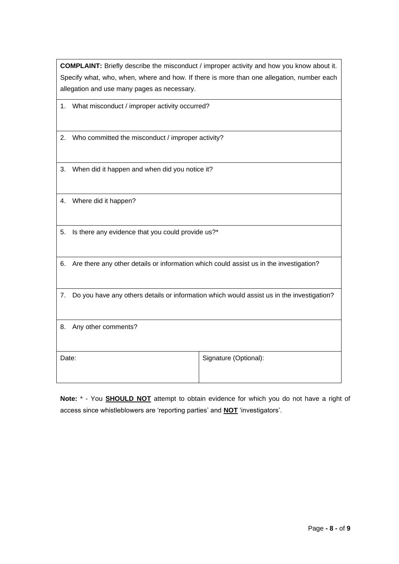**COMPLAINT:** Briefly describe the misconduct / improper activity and how you know about it. Specify what, who, when, where and how. If there is more than one allegation, number each allegation and use many pages as necessary.

- 1. What misconduct / improper activity occurred?
- 2. Who committed the misconduct / improper activity?
- 3. When did it happen and when did you notice it?
- 4. Where did it happen?
- 5. Is there any evidence that you could provide us?\*
- 6. Are there any other details or information which could assist us in the investigation?
- 7. Do you have any others details or information which would assist us in the investigation?
- 8. Any other comments?

Date: **Signature (Optional):** Signature (Optional):

**Note:** \* - You **SHOULD NOT** attempt to obtain evidence for which you do not have a right of access since whistleblowers are 'reporting parties' and **NOT** 'investigators'.